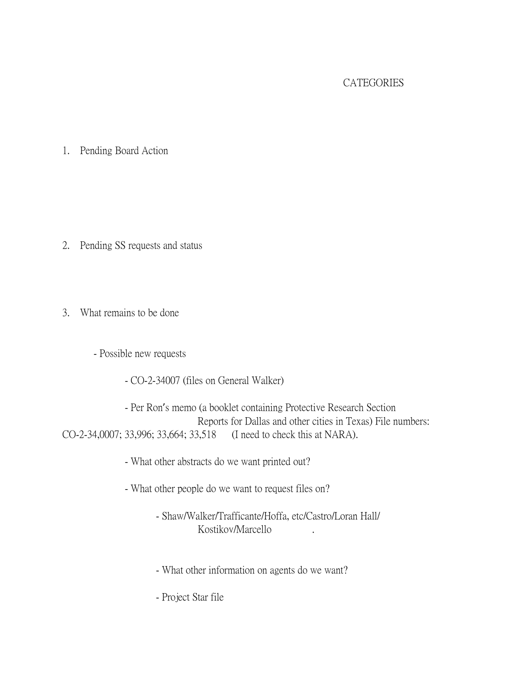## **CATEGORIES**

1. Pending Board Action

- 2. Pending SS requests and status
- 3. What remains to be done
	- Possible new requests
		- CO-2-34007 (files on General Walker)

- Per Ron's memo (a booklet containing Protective Research Section Reports for Dallas and other cities in Texas) File numbers: CO-2-34,0007; 33,996; 33,664; 33,518 (I need to check this at NARA).

- What other abstracts do we want printed out?

- What other people do we want to request files on?
	- Shaw/Walker/Trafficante/Hoffa, etc/Castro/Loran Hall/ Kostikov/Marcello .
	- What other information on agents do we want?

- Project Star file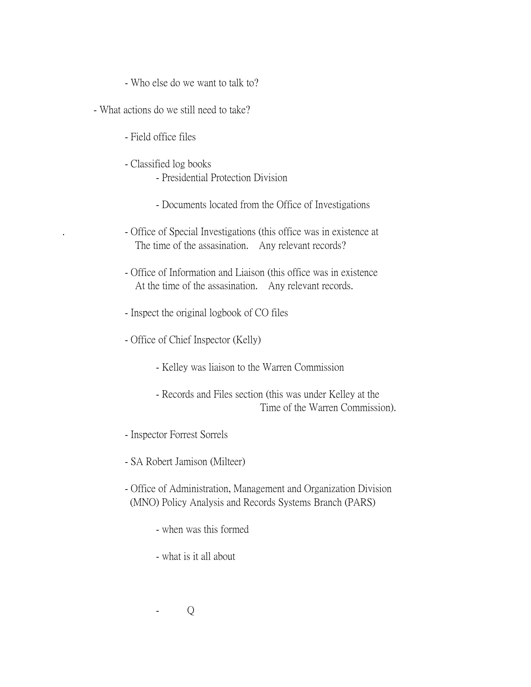- Who else do we want to talk to?
- What actions do we still need to take?
	- Field office files
	- Classified log books
		- Presidential Protection Division
		- Documents located from the Office of Investigations
	- . Office of Special Investigations (this office was in existence at The time of the assasination. Any relevant records?
	- Office of Information and Liaison (this office was in existence At the time of the assasination. Any relevant records.
	- Inspect the original logbook of CO files
	- Office of Chief Inspector (Kelly)
		- Kelley was liaison to the Warren Commission
		- Records and Files section (this was under Kelley at the Time of the Warren Commission).
	- Inspector Forrest Sorrels
	- SA Robert Jamison (Milteer)
	- Office of Administration, Management and Organization Division (MNO) Policy Analysis and Records Systems Branch (PARS)
		- when was this formed
		- what is it all about
		- $Q$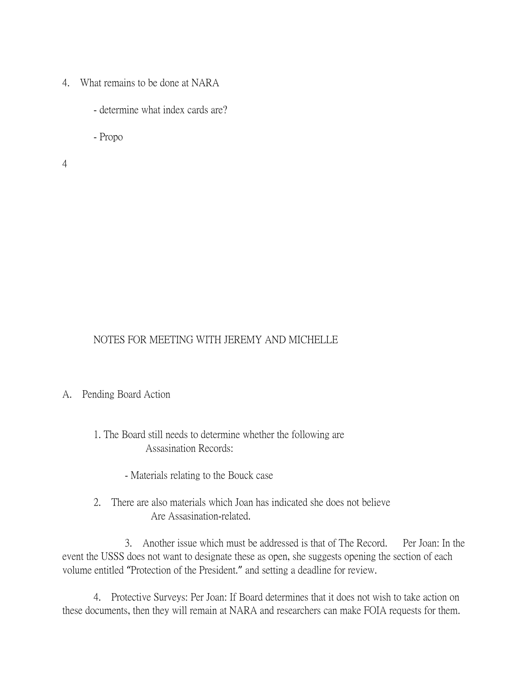- 4. What remains to be done at NARA
	- determine what index cards are?
	- Propo

4

## NOTES FOR MEETING WITH JEREMY AND MICHELLE

## A. Pending Board Action

- 1. The Board still needs to determine whether the following are Assasination Records:
	- Materials relating to the Bouck case
- 2. There are also materials which Joan has indicated she does not believe Are Assasination-related.

 3. Another issue which must be addressed is that of The Record. Per Joan: In the event the USSS does not want to designate these as open, she suggests opening the section of each volume entitled "Protection of the President." and setting a deadline for review.

4. Protective Surveys: Per Joan: If Board determines that it does not wish to take action on these documents, then they will remain at NARA and researchers can make FOIA requests for them.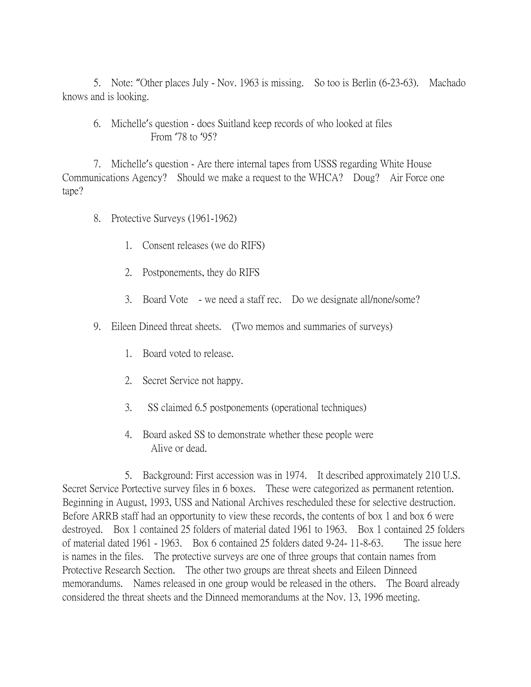5. Note: "Other places July - Nov. 1963 is missing. So too is Berlin (6-23-63). Machado knows and is looking.

6. Michelle's question - does Suitland keep records of who looked at files From '78 to '95?

7. Michelle's question - Are there internal tapes from USSS regarding White House Communications Agency? Should we make a request to the WHCA? Doug? Air Force one tape?

- 8. Protective Surveys (1961-1962)
	- 1. Consent releases (we do RIFS)
	- 2. Postponements, they do RIFS
	- 3. Board Vote we need a staff rec. Do we designate all/none/some?
- 9. Eileen Dineed threat sheets. (Two memos and summaries of surveys)
	- 1. Board voted to release.
	- 2. Secret Service not happy.
	- 3. SS claimed 6.5 postponements (operational techniques)
	- 4. Board asked SS to demonstrate whether these people were Alive or dead.

5. Background: First accession was in 1974. It described approximately 210 U.S. Secret Service Portective survey files in 6 boxes. These were categorized as permanent retention. Beginning in August, 1993, USS and National Archives rescheduled these for selective destruction. Before ARRB staff had an opportunity to view these records, the contents of box 1 and box 6 were destroyed. Box 1 contained 25 folders of material dated 1961 to 1963. Box 1 contained 25 folders of material dated 1961 - 1963. Box 6 contained 25 folders dated 9-24- 11-8-63. The issue here is names in the files. The protective surveys are one of three groups that contain names from Protective Research Section. The other two groups are threat sheets and Eileen Dinneed memorandums. Names released in one group would be released in the others. The Board already considered the threat sheets and the Dinneed memorandums at the Nov. 13, 1996 meeting.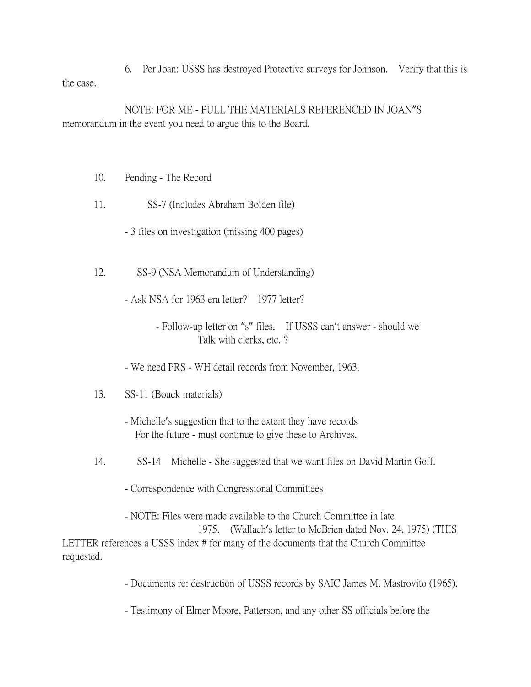6. Per Joan: USSS has destroyed Protective surveys for Johnson. Verify that this is the case.

NOTE: FOR ME - PULL THE MATERIALS REFERENCED IN JOAN"S memorandum in the event you need to argue this to the Board.

- 10. Pending The Record
- 11. SS-7 (Includes Abraham Bolden file)
	- 3 files on investigation (missing 400 pages)
- 12. SS-9 (NSA Memorandum of Understanding)
	- Ask NSA for 1963 era letter? 1977 letter?
		- Follow-up letter on "s" files. If USSS can't answer should we Talk with clerks, etc. ?
	- We need PRS WH detail records from November, 1963.
- 13. SS-11 (Bouck materials)
	- Michelle's suggestion that to the extent they have records For the future - must continue to give these to Archives.
- 14. SS-14 Michelle She suggested that we want files on David Martin Goff.
	- Correspondence with Congressional Committees

- NOTE: Files were made available to the Church Committee in late 1975. (Wallach's letter to McBrien dated Nov. 24, 1975) (THIS LETTER references a USSS index # for many of the documents that the Church Committee requested.

- Documents re: destruction of USSS records by SAIC James M. Mastrovito (1965).

- Testimony of Elmer Moore, Patterson, and any other SS officials before the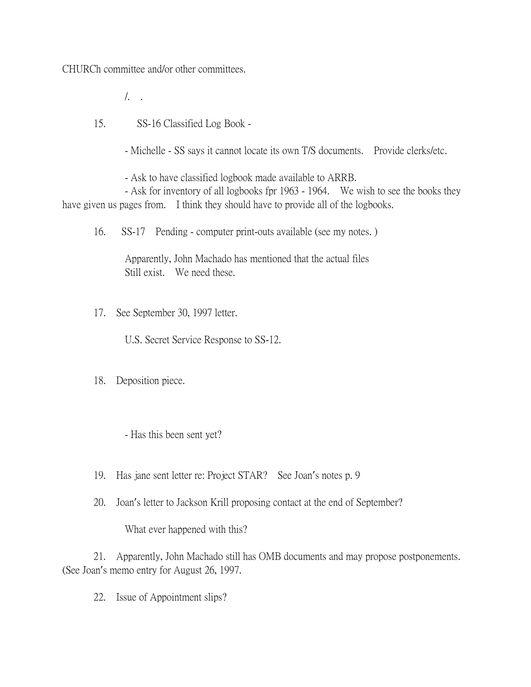CHURCh committee and/or other committees.

/. .

15. SS-16 Classified Log Book -

- Michelle - SS says it cannot locate its own T/S documents. Provide clerks/etc.

- Ask to have classified logbook made available to ARRB.

- Ask for inventory of all logbooks fpr 1963 - 1964. We wish to see the books they have given us pages from. I think they should have to provide all of the logbooks.

16. SS-17 Pending - computer print-outs available (see my notes. )

Apparently, John Machado has mentioned that the actual files Still exist. We need these.

17. See September 30, 1997 letter.

U.S. Secret Service Response to SS-12.

18. Deposition piece.

- Has this been sent yet?

19. Has jane sent letter re: Project STAR? See Joan's notes p. 9

20. Joan's letter to Jackson Krill proposing contact at the end of September?

What ever happened with this?

21. Apparently, John Machado still has OMB documents and may propose postponements. (See Joan's memo entry for August 26, 1997.

22. Issue of Appointment slips?